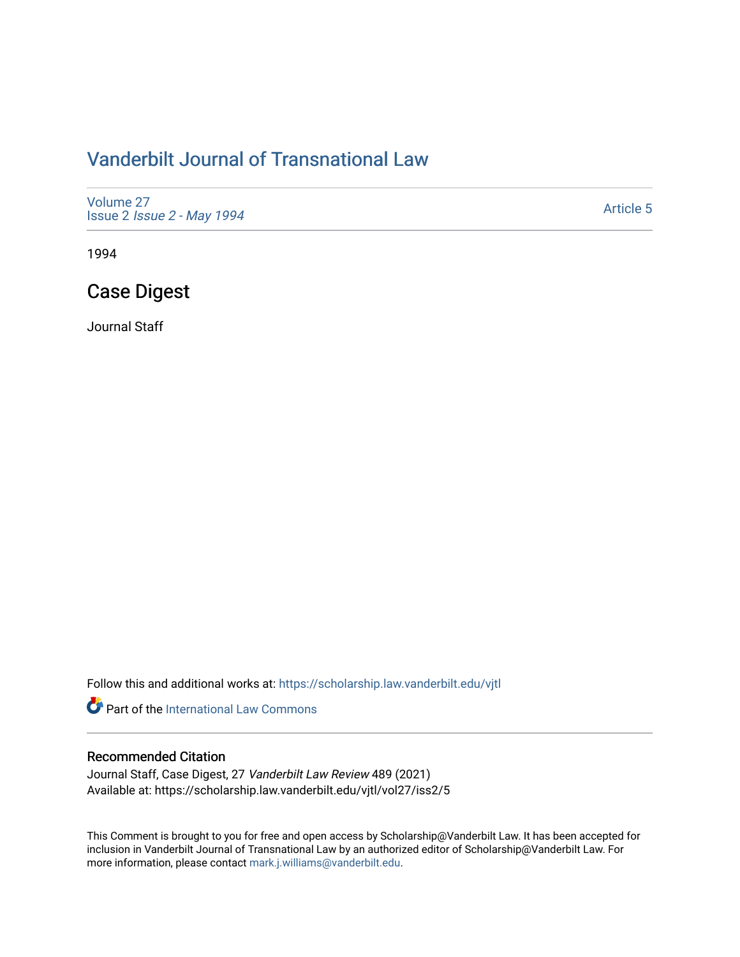# [Vanderbilt Journal of Transnational Law](https://scholarship.law.vanderbilt.edu/vjtl)

[Volume 27](https://scholarship.law.vanderbilt.edu/vjtl/vol27) Issue 2 [Issue 2 - May 1994](https://scholarship.law.vanderbilt.edu/vjtl/vol27/iss2) 

[Article 5](https://scholarship.law.vanderbilt.edu/vjtl/vol27/iss2/5) 

1994

# Case Digest

Journal Staff

Follow this and additional works at: [https://scholarship.law.vanderbilt.edu/vjtl](https://scholarship.law.vanderbilt.edu/vjtl?utm_source=scholarship.law.vanderbilt.edu%2Fvjtl%2Fvol27%2Fiss2%2F5&utm_medium=PDF&utm_campaign=PDFCoverPages) 

**Part of the International Law Commons** 

### Recommended Citation

Journal Staff, Case Digest, 27 Vanderbilt Law Review 489 (2021) Available at: https://scholarship.law.vanderbilt.edu/vjtl/vol27/iss2/5

This Comment is brought to you for free and open access by Scholarship@Vanderbilt Law. It has been accepted for inclusion in Vanderbilt Journal of Transnational Law by an authorized editor of Scholarship@Vanderbilt Law. For more information, please contact [mark.j.williams@vanderbilt.edu](mailto:mark.j.williams@vanderbilt.edu).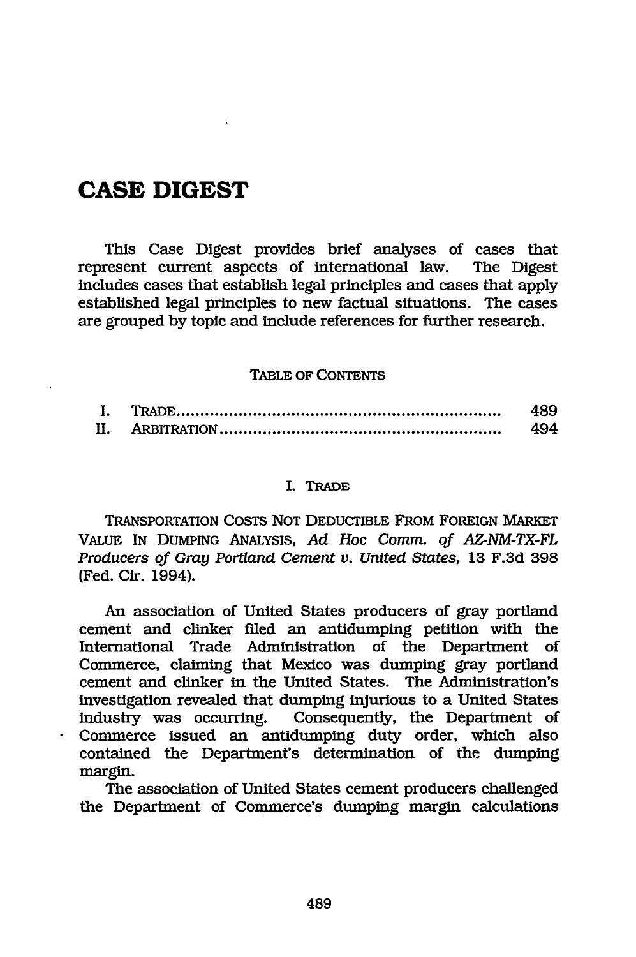## **CASE DIGEST**

This Case Digest provides brief analyses of cases that represent current aspects of international law. The Digest includes cases that establish legal principles and cases that apply established legal principles to new factual situations. The cases are grouped by topic and include references for further research.

#### TABLE OF CONTENTS

|  | 489 |
|--|-----|
|  | 494 |

#### I. TRADE

TRANSPORTATION COSTS NOT DEDUCTIBLE FROM FOREIGN MARKET VALUE IN DUMPING ANALYSIS, *Ad Hoc Comm. of AZ-NM-TX-FL Producers of Gray Portland Cement v. United States,* **13** F.3d 398 (Fed. Cir. 1994).

An association of United States producers of gray portland cement and clinker filed an antidumping petition with the International Trade Administration of the Department of Commerce, claiming that Mexico was dumping gray portland cement and clinker in the United States. The Administration's investigation revealed that dumping injurious to a United States industry was occurring. Consequently, the Department of Commerce issued an antidumping duty order, which also contained the Department's determination of the dumping margin.

The association of United States cement producers challenged the Department of Commerce's dumping margin calculations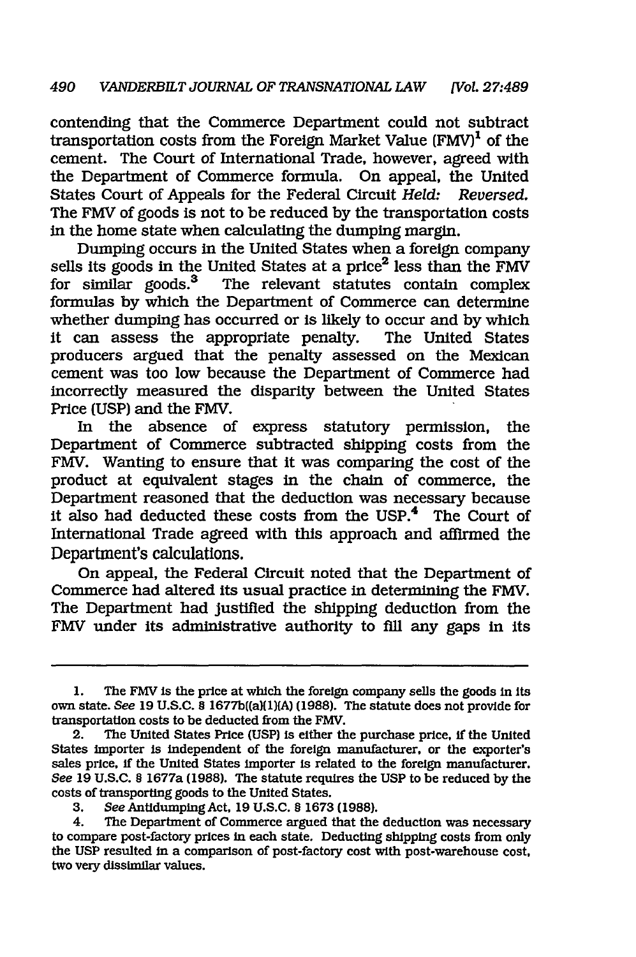contending that the Commerce Department could not subtract transportation costs from the Foreign Market Value  $(FMV)^1$  of the cement. The Court of International Trade, however, agreed with the Department of Commerce formula. On appeal, the United States Court of Appeals for the Federal Circuit *Held: Reversed.* The FMV of goods is not to be reduced by the transportation costs in the home state when calculating the dumping margin.

Dumping occurs In the United States when a foreign company sells its goods in the United States at a price<sup>2</sup> less than the FMV for similar goods.<sup>3</sup> The relevant statutes contain complex formulas **by** which the Department of Commerce can determine whether dumping has occurred or is likely to occur and by which It can assess the appropriate penalty. The United States producers argued that the penalty assessed on the Mexican cement was too low because the Department of Commerce had incorrectly measured the disparity between the United States Price (USP) and the FMV.

In the absence of express statutory permission, the Department of Commerce subtracted shipping costs from the FMV. Wanting to ensure that it was comparing the cost of the product at equivalent stages in the chain of commerce, the Department reasoned that the deduction was necessary because it also had deducted these costs from the USP.<sup>4</sup> The Court of International Trade agreed with this approach and affirmed the Department's calculations.

On appeal, the Federal Circuit noted that the Department of Commerce had altered its usual practice in determining the FMV. The Department had justified the shipping deduction from the FMV under its administrative authority to fill any gaps in its

**<sup>1.</sup>** The FMV is the price at which the foreign company sells the goods in its own state. *See* 19 U.S.C. § 1677b((a)[1)(A) (1988). The statute does not provide for transportation costs to be deducted from the FMV.

<sup>2.</sup> The United States Price **(USP)** is either the purchase price, if the United States importer is independent of the foreign manufacturer, or the exporter's sales price, if the United States importer is related to the foreign manufacturer. *See* 19 U.S.C. § 1677a (1988). The statute requires the USP to be reduced **by** the costs of transporting goods to the United States.

**<sup>3.</sup>** See Antidumping Act, 19 U.S.C. § 1673 (1988).

<sup>4.</sup> The Department of Commerce argued that the deduction was necessary to compare post-factory prices in each state. Deducting shipping costs from only the USP resulted in a comparison of post-factory cost with post-warehouse cost, two very dissimilar values.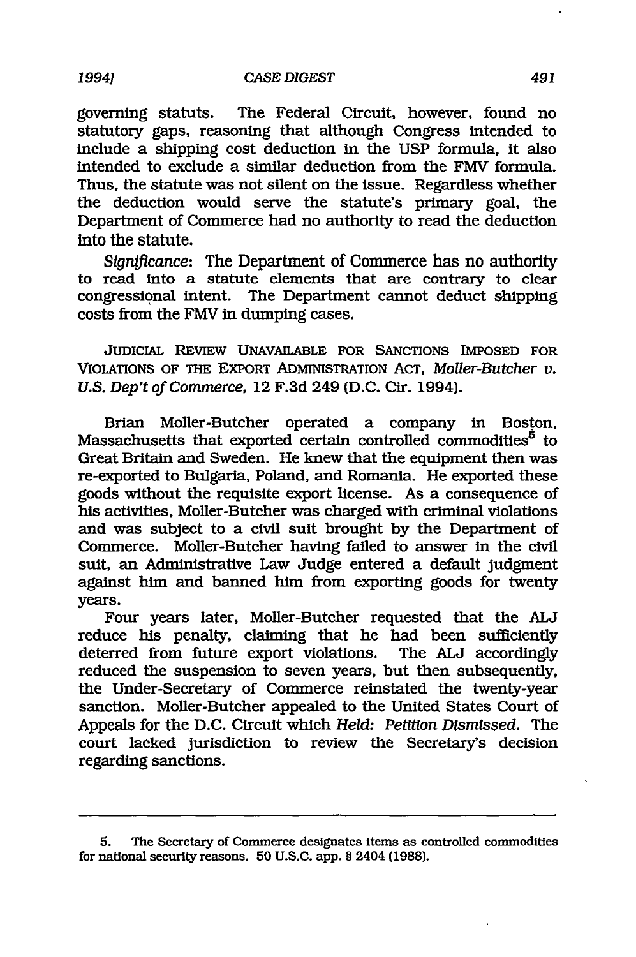governing statuts. The Federal Circuit, however, found no statutory gaps, reasoning that although Congress intended to include a shipping cost deduction in the USP formula, it also intended to exclude a similar deduction from the FMV formula. Thus, the statute was not silent on the issue. Regardless whether the deduction would serve the statute's primary goal, the Department of Commerce had no authority to read the deduction into the statute.

*Sign!flcance:* The Department of Commerce has no authority to read into a statute elements that are contrary to clear congressional intent. The Department cannot deduct shipping costs from the FMV in dumping cases.

JUDICIAL REVIEW **UNAVAILABLE FOR SANCTIONS IMPOSED FOR** VIOLATIONS OF **THE** EXPORT ADMINISTRATION ACT, *Moller-Butcher v. U.S. Dep't of Commerce,* 12 F.3d 249 (D.C. Cir. 1994).

Brian Moiler-Butcher operated a company in Boston, Massachusetts that exported certain controlled commodities<sup>5</sup> to Great Britain and Sweden. He knew that the equipment then was re-exported to Bulgaria, Poland, and Romania. He exported these goods without the requisite export license. As a consequence of his activities, Moller-Butcher was charged with criminal violations and was subject to a civil suit brought by the Department of Commerce. Moller-Butcher having failed to answer in the civil suit, an Administrative Law Judge entered a default judgment against him and banned him from exporting goods for twenty years.

Four years later, Moller-Butcher requested that the **ALJ** reduce his penalty, claiming that he had been sufficiently deterred from future export violations. The *AUJ* accordingly reduced the suspension to seven years, but then subsequently, the Under-Secretary of Commerce reinstated the twenty-year sanction. Moller-Butcher appealed to the United States Court of Appeals for the D.C. Circuit which *Held: Petition Dismissed.* The court lacked jurisdiction to review the Secretary's decision regarding sanctions.

*1994]*

<sup>5.</sup> The Secretary of Commerce designates items as controlled commodities for national security reasons. 50 U.S.C. app. § 2404 (1988).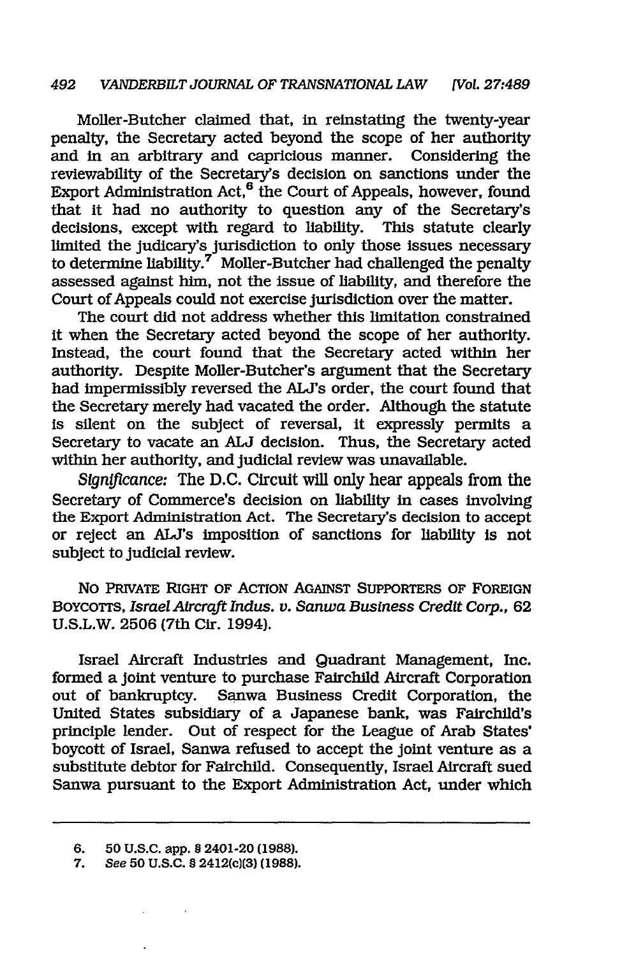Moller-Butcher claimed that, in reinstating the twenty-year penalty, the Secretary acted beyond the scope of her authority and in an arbitrary and capricious manner. Considering the reviewability of the Secretary's decision on sanctions under the Export Administration Act,6 the Court of Appeals, however, found that it had no authority to question any of the Secretary's decisions, except with regard to liability. This statute clearly limited the judicary's jurisdiction to only those issues necessary to determine liability.<sup>7</sup> Moller-Butcher had challenged the penalty assessed against him, not the issue of liability, and therefore the Court of Appeals could not exercise jurisdiction over the matter.

The court did not address whether this limitation constrained it when the Secretary acted beyond the scope of her authority. Instead, the court found that the Secretary acted within her authority. Despite Moller-Butcher's argument that the Secretary had impermissibly reversed the ALJ's order, the court found that the Secretary merely had vacated the order. Although the statute is silent on the subject of reversal, it expressly permits a Secretary to vacate an **ALJ** decision. Thus, the Secretary acted within her authority, and judicial review was unavailable.

*Stgn!flcance:* The D.C. Circuit will only hear appeals from the Secretary of Commerce's decision on liability in cases involving the Export Administration Act. The Secretary's decision to accept or reject an ALJ's imposition of sanctions for liability Is not subject to judicial review.

No PRVATE RIGHT OF ACTION AGAINST SUPPORTERS OF FOREIGN BoycoTTS, *Israel Aircraft Indus. v. Sanwa Business Credit Corp.,* 62 U.S.L.W. 2506 (7th Cir. 1994).

Israel Aircraft Industries and Quadrant Management, Inc. formed a joint venture to purchase Fairchild Aircraft Corporation out of bankruptcy. Sanwa Business Credit Corporation, the United States subsidiary of a Japanese bank, was Fairchild's principle lender. Out of respect for the League of Arab States' boycott of Israel, Sanwa refused to accept the joint venture as a substitute debtor for Fairchild. Consequently, Israel Aircraft sued Sanwa pursuant to the Export Administration Act, under which

<sup>6.</sup> **50 U.S.C. app. §** 2401-20 **(1988).**

*See* **50 U.S.C. § 2412(c)(3) (1988).**7.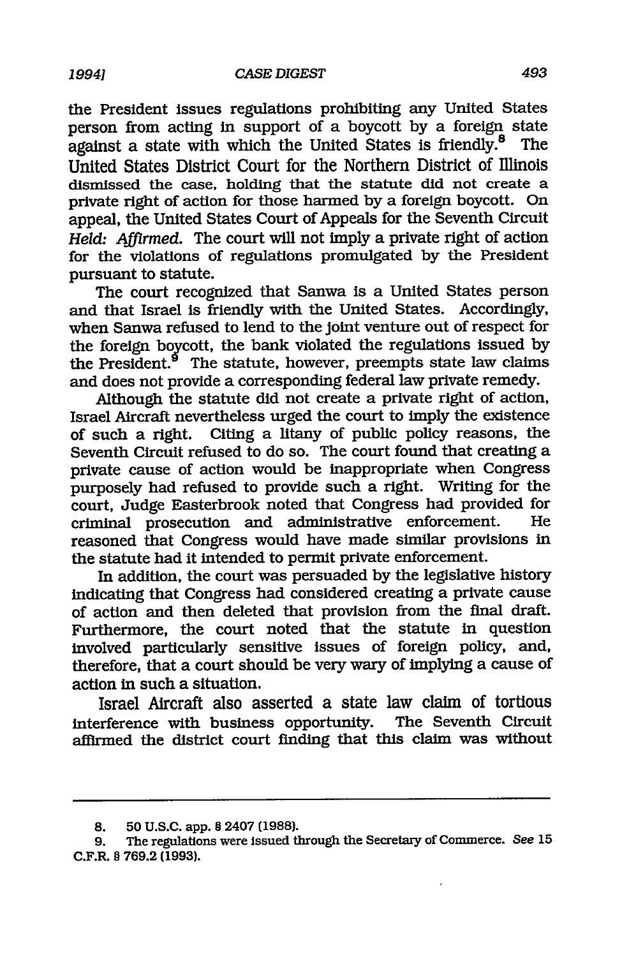the President issues regulations prohibiting any United States person from acting in support of a boycott by a foreign state against a state with which the United States is friendly.<sup>8</sup> The against a state with which the United States is friendly. $8$ United States District Court for the Northern District of Illinois dismissed the case, holding that the statute did not create a private right of action for those harmed by a foreign boycott. On appeal, the United States Court of Appeals for the Seventh Circuit *Held.. Affirmed.* The court will not imply a private right of action for the violations of regulations promulgated by the President pursuant to statute.

The court recognized that Sanwa is a United States person and that Israel is friendly with the United States. Accordingly, when Sanwa refused to lend to the joint venture out of respect for the foreign boycott, the bank violated the regulations issued by the President.<sup>9</sup> The statute, however, preempts state law claims and does not provide a corresponding federal law private remedy.

Although the statute did not create a private right of action, Israel Aircraft nevertheless urged the court to imply the existence of such a right. Citing a litany of public policy reasons, the Seventh Circuit refused to do so. The court found that creating a private cause of action would be inappropriate when Congress purposely had refused to provide such a right. Writing for the court, Judge Easterbrook noted that Congress had provided for criminal prosecution and administrative enforcement. He reasoned that Congress would have made similar provisions in the statute had it intended to permit private enforcement.

In addition, the court was persuaded by the legislative history indicating that Congress had considered creating a private cause of action and then deleted that provision from the final draft. Furthermore, the court noted that the statute in question involved particularly sensitive issues of foreign policy, and, therefore, that a court should be very wary of implying a cause of action in such a situation.

Israel Aircraft also asserted a state law claim of tortious interference with business opportunity. The Seventh Circuit affirmed the district court finding that this claim was without

**<sup>8. 50</sup>** U.S.C. app. **§** 2407 **(1988).**

**<sup>9.</sup>** The regulations were issued through the Secretary of Commerce. See **15** C.F.R. **§ 769.2 (1993).**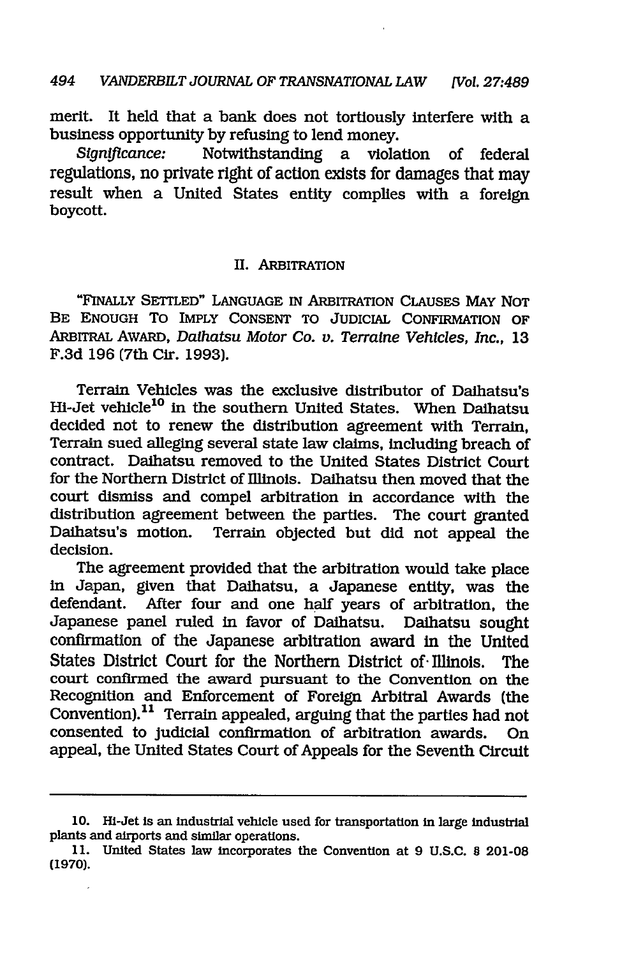merit. It held that a bank does not tortiously interfere with a business opportunity by refusing to lend money.

*Significance:* Notwithstanding a violation of federal regulations, no private right of action exists for damages that may result when a United States entity complies with a foreign boycott.

### II. ARBITRATION

"FINALLY SETTLED" LANGUAGE IN ARBITRATION CLAUSES MAY NOT BE ENOUGH To IMPLY CONSENT TO JUDICIAL CONFIRMATION OF ARBITRAL AWARD, *Daihatsu Motor Co. v. Terralne Vehicles, Inc.,* 13 F.3d 196 (7th Cir. 1993).

Terrain Vehicles was the exclusive distributor of Daihatsu's Hi-Jet vehicle<sup>10</sup> in the southern United States. When Daihatsu decided not to renew the distribution agreement with Terrain, Terrain sued alleging several state law claims, including breach of contract. Daihatsu removed to the United States District Court for the Northern District of Illinois. Daihatsu then moved that the court dismiss and compel arbitration In accordance with the distribution agreement between the parties. The court granted Daihatsu's motion. Terrain objected but did not appeal the decision.

The agreement provided that the arbitration would take place in Japan, given that Daihatsu, a Japanese entity, was the defendant. After four and one half years of arbitration, the Japanese panel ruled in favor of Daihatsu. Daihatsu sought confirmation of the Japanese arbitration award in the United States District Court for the Northern District of- Illinois. The court confirmed the award pursuant to the Convention on the Recognition and Enforcement of Foreign Arbitral Awards (the Convention).<sup>11</sup> Terrain appealed, arguing that the parties had not consented to judicial confirmation of arbitration awards. On appeal, the United States Court of Appeals for the Seventh Circuit

**<sup>10.</sup>** Hi-Jet is an Industrial vehicle used for transportation in large industrial plants and airports and similar operations.

<sup>11.</sup> United States law incorporates the Convention at 9 U.S.C. **0** 201-08 (1970).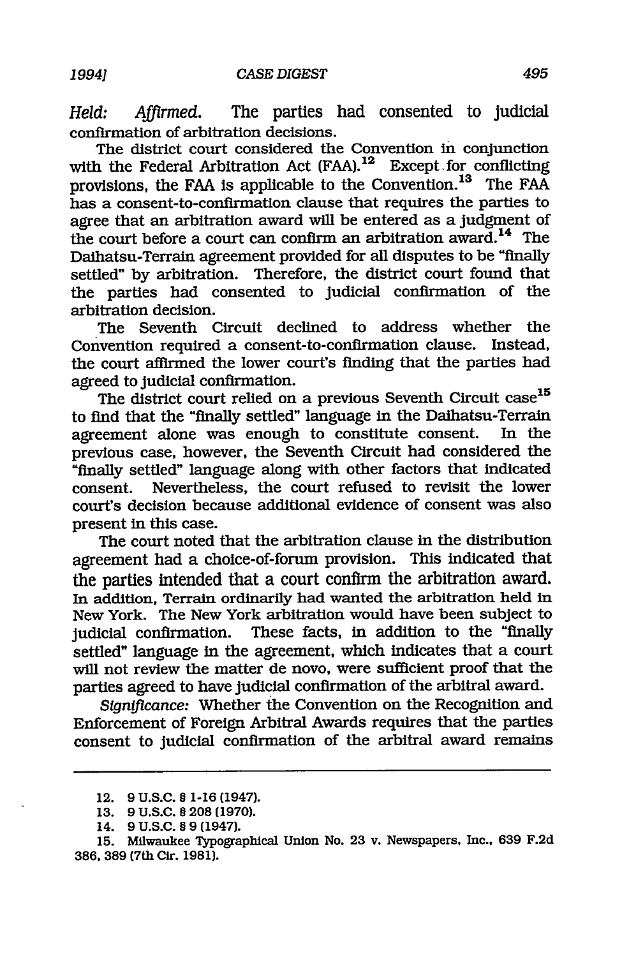*Held: Affirmed.* The parties had consented to judicial confirmation of arbitration decisions.

The district court considered the Convention in conjunction with the Federal Arbitration Act (FAA).<sup>12</sup> Except for conflicting provisions, the FAA is applicable to the Convention. 13 The FAA has a consent-to-confirmation clause that requires the parties to agree that an arbitration award will be entered as a judgment of the court before a court can confirm an arbitration award.<sup>14</sup> The Daihatsu-Terrain agreement provided for all disputes to be "finally settled" by arbitration. Therefore, the district court found that the parties had consented to judicial confirmation of the arbitration decision.

The Seventh Circuit declined to address whether the Convention required a consent-to-confirmation clause. Instead, the court affirmed the lower court's finding that the parties had agreed to judicial confirmation.

The district court relied on a previous Seventh Circuit case<sup>15</sup> to find that the "finally settled" language in the Daihatsu-Terrain<br>agreement alone was enough to constitute consent. In the agreement alone was enough to constitute consent. previous case, however, the Seventh Circuit had considered the "finally settled" language along with other factors that indicated consent. Nevertheless, the court refused to revisit the lower court's decision because additional evidence of consent was also present in this case.

The court noted that the arbitration clause in the distribution agreement had a choice-of-forum provision. This indicated that the parties intended that a court confirm the arbitration award. In addition, Terrain ordinarily had wanted the arbitration held in New York. The New York arbitration would have been subject to judicial confirmation. These facts, in addition to the "finally settled" language in the agreement, which indicates that a court will not review the matter de novo, were sufficient proof that the parties agreed to have judicial confirmation of the arbitral award.

*Significance:* Whether the Convention on the Recognition and Enforcement of Foreign Arbitral Awards requires that the parties consent to judicial confirmation of the arbitral award remains

**<sup>12. 9</sup> U.S.C.** § **1-16** (1947).

**<sup>13. 9</sup> U.S.C.** § **208 (1970).**

<sup>14.</sup> **9** U.S.C. § 9 (1947).

**<sup>15.</sup>** Milwaukee Typographical Union No. **23** v. Newspapers, Inc., **639 F.2d 386, 389** (7th Cir. **1981).**